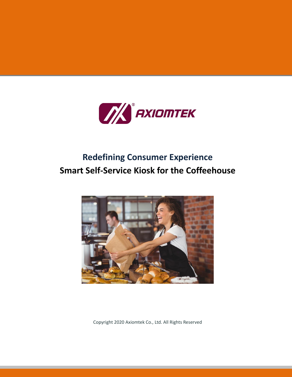

# **Redefining Consumer Experience Smart Self-Service Kiosk for the Coffeehouse**



Copyright 2020 Axiomtek Co., Ltd. All Rights Reserved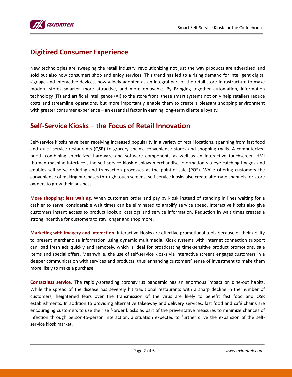

### **Digitized Consumer Experience**

New technologies are sweeping the retail industry, revolutionizing not just the way products are advertised and sold but also how consumers shop and enjoy services. This trend has led to a rising demand for intelligent digital signage and interactive devices, now widely adopted as an integral part of the retail store infrastructure to make modern stores smarter, more attractive, and more enjoyable. By Bringing together automation, information technology (IT) and artificial intelligence (AI) to the store front, these smart systems not only help retailers reduce costs and streamline operations, but more importantly enable them to create a pleasant shopping environment with greater consumer experience – an essential factor in earning long-term clientele loyalty.

### **Self-Service Kiosks – the Focus of Retail Innovation**

Self-service kiosks have been receiving increased popularity in a variety of retail locations, spanning from fast food and quick service restaurants (QSR) to grocery chains, convenience stores and shopping malls. A computerized booth combining specialized hardware and software components as well as an interactive touchscreen HMI (human machine interface), the self-service kiosk displays merchandise information via eye-catching images and enables self-serve ordering and transaction processes at the point-of-sale (POS). While offering customers the convenience of making purchases through touch screens, self-service kiosks also create alternate channels for store owners to grow their business.

**More shopping; less waiting.** When customers order and pay by kiosk instead of standing in lines waiting for a cashier to serve, considerable wait times can be eliminated to amplify service speed. Interactive kiosks also give customers instant access to product lookup, catalogs and service information. Reduction in wait times creates a strong incentive for customers to stay longer and shop more.

**Marketing with imagery and interaction.** Interactive kiosks are effective promotional tools because of their ability to present merchandise information using dynamic multimedia. Kiosk systems with Internet connection support can load fresh ads quickly and remotely, which is ideal for broadcasting time-sensitive product promotions, sale items and special offers. Meanwhile, the use of self-service kiosks via interactive screens engages customers in a deeper communication with services and products, thus enhancing customers' sense of investment to make them more likely to make a purchase.

**Contactless service.** The rapidly-spreading coronavirus pandemic has an enormous impact on dine-out habits. While the spread of the disease has severely hit traditional restaurants with a sharp decline in the number of customers, heightened fears over the transmission of the virus are likely to benefit fast food and QSR establishments. In addition to providing alternative takeaway and delivery services, fast food and café chains are encouraging customers to use their self-order kiosks as part of the preventative measures to minimize chances of infection through person-to-person interaction, a situation expected to further drive the expansion of the selfservice kiosk market.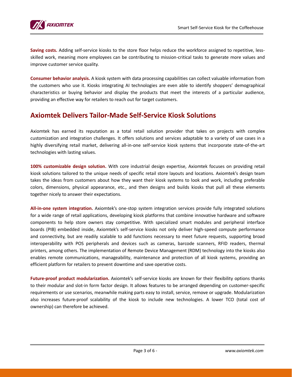

**Saving costs.** Adding self-service kiosks to the store floor helps reduce the workforce assigned to repetitive, lessskilled work, meaning more employees can be contributing to mission-critical tasks to generate more values and improve customer service quality.

**Consumer behavior analysis.** A kiosk system with data processing capabilities can collect valuable information from the customers who use it. Kiosks integrating AI technologies are even able to identify shoppers' demographical characteristics or buying behavior and display the products that meet the interests of a particular audience, providing an effective way for retailers to reach out for target customers.

### **Axiomtek Delivers Tailor-Made Self-Service Kiosk Solutions**

Axiomtek has earned its reputation as a total retail solution provider that takes on projects with complex customization and integration challenges. It offers solutions and services adaptable to a variety of use cases in a highly diversifying retail market, delivering all-in-one self-service kiosk systems that incorporate state-of-the-art technologies with lasting values.

**100% customizable design solution.** With core industrial design expertise, Axiomtek focuses on providing retail kiosk solutions tailored to the unique needs of specific retail store layouts and locations. Axiomtek's design team takes the ideas from customers about how they want their kiosk systems to look and work, including preferable colors, dimensions, physical appearance, etc., and then designs and builds kiosks that pull all these elements together nicely to answer their expectations.

**All-in-one system integration.** Axiomtek's one-stop system integration services provide fully integrated solutions for a wide range of retail applications, developing kiosk platforms that combine innovative hardware and software components to help store owners stay competitive. With specialized smart modules and peripheral interface boards (PIB) embedded inside, Axiomtek's self-service kiosks not only deliver high-speed compute performance and connectivity, but are readily scalable to add functions necessary to meet future requests, supporting broad interoperability with POS peripherals and devices such as cameras, barcode scanners, RFID readers, thermal printers, among others. The implementation of Remote Device Management (RDM) technology into the kiosks also enables remote communications, manageability, maintenance and protection of all kiosk systems, providing an efficient platform for retailers to prevent downtime and save operative costs.

**Future-proof product modularization.** Axiomtek's self-service kiosks are known for their flexibility options thanks to their modular and slot-in form factor design. It allows features to be arranged depending on customer-specific requirements or use scenarios, meanwhile making parts easy to install, service, remove or upgrade. Modularization also increases future-proof scalability of the kiosk to include new technologies. A lower TCO (total cost of ownership) can therefore be achieved.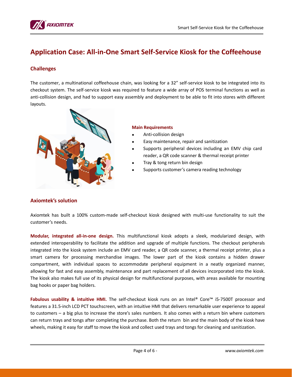

# **Application Case: All-in-One Smart Self-Service Kiosk for the Coffeehouse**

### **Challenges**

The customer, a multinational coffeehouse chain, was looking for a 32" self-service kiosk to be integrated into its checkout system. The self-service kiosk was required to feature a wide array of POS terminal functions as well as anti-collision design, and had to support easy assembly and deployment to be able to fit into stores with different layouts.



#### **Main Requirements**

- Anti-collision design
- Easy maintenance, repair and sanitization
- Supports peripheral devices including an EMV chip card reader, a QR code scanner & thermal receipt printer
- Tray & tong return bin design
- Supports customer's camera reading technology

### **Axiomtek's solution**

Axiomtek has built a 100% custom-made self-checkout kiosk designed with multi-use functionality to suit the customer's needs.

**Modular, integrated all-in-one design.** This multifunctional kiosk adopts a sleek, modularized design, with extended interoperability to facilitate the addition and upgrade of multiple functions. The checkout peripherals integrated into the kiosk system include an EMV card reader, a QR code scanner, a thermal receipt printer, plus a smart camera for processing merchandise images. The lower part of the kiosk contains a hidden drawer compartment, with individual spaces to accommodate peripheral equipment in a neatly organized manner, allowing for fast and easy assembly, maintenance and part replacement of all devices incorporated into the kiosk. The kiosk also makes full use of its physical design for multifunctional purposes, with areas available for mounting bag hooks or paper bag holders.

**Fabulous usability & intuitive HMI.** The self-checkout kiosk runs on an Intel® Core™ i5-7500T processor and features a 31.5-inch LCD PCT touchscreen, with an intuitive HMI that delivers remarkable user experience to appeal to customers – a big plus to increase the store's sales numbers. It also comes with a return bin where customers can return trays and tongs after completing the purchase. Both the return bin and the main body of the kiosk have wheels, making it easy for staff to move the kiosk and collect used trays and tongs for cleaning and sanitization.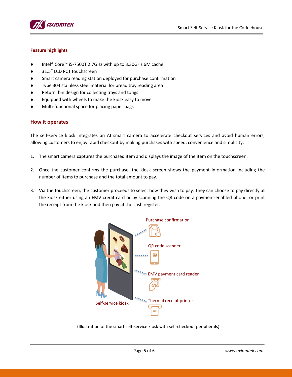

#### **Feature highlights**

- Intel® Core™ i5-7500T 2.7GHz with up to 3.30GHz 6M cache
- 31.5" LCD PCT touchscreen
- Smart camera reading station deployed for purchase confirmation
- Type 304 stainless steel material for bread tray reading area
- Return bin design for collecting trays and tongs
- Equipped with wheels to make the kiosk easy to move
- Multi-functional space for placing paper bags

#### **How it operates**

The self-service kiosk integrates an AI smart camera to accelerate checkout services and avoid human errors, allowing customers to enjoy rapid checkout by making purchases with speed, convenience and simplicity:

- 1. The smart camera captures the purchased item and displays the image of the item on the touchscreen.
- 2. Once the customer confirms the purchase, the kiosk screen shows the payment information including the number of items to purchase and the total amount to pay.
- 3. Via the touchscreen, the customer proceeds to select how they wish to pay. They can choose to pay directly at the kiosk either using an EMV credit card or by scanning the QR code on a payment-enabled phone, or print the receipt from the kiosk and then pay at the cash register.



(Illustration of the smart self-service kiosk with self-checkout peripherals)